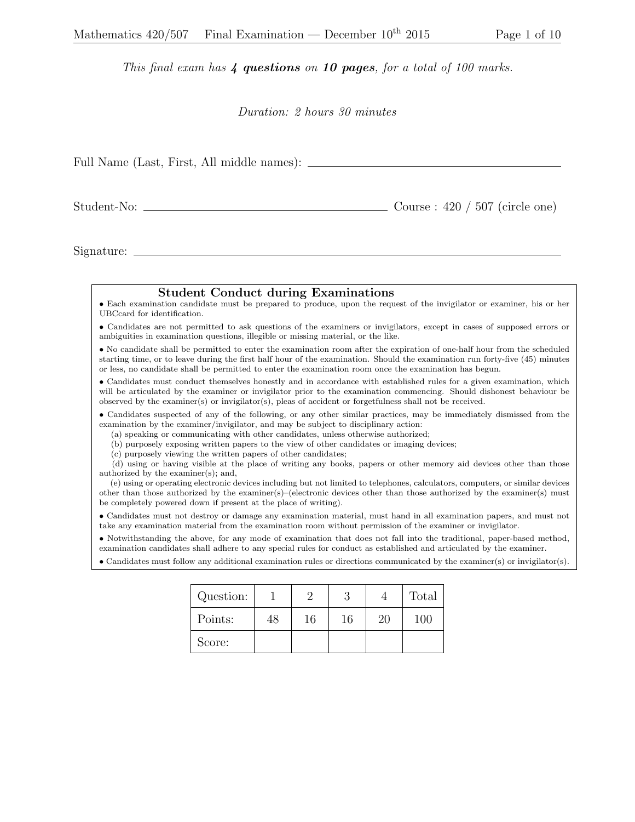## This final exam has  $\lambda$  questions on 10 pages, for a total of 100 marks.

## Duration: 2 hours 30 minutes

| Full Name (Last, First, All middle names): ___________ |                                   |
|--------------------------------------------------------|-----------------------------------|
|                                                        | Course : $420 / 507$ (circle one) |

Signature:

## Student Conduct during Examinations

• Each examination candidate must be prepared to produce, upon the request of the invigilator or examiner, his or her UBCcard for identification.

• Candidates are not permitted to ask questions of the examiners or invigilators, except in cases of supposed errors or ambiguities in examination questions, illegible or missing material, or the like.

• No candidate shall be permitted to enter the examination room after the expiration of one-half hour from the scheduled starting time, or to leave during the first half hour of the examination. Should the examination run forty-five (45) minutes or less, no candidate shall be permitted to enter the examination room once the examination has begun.

• Candidates must conduct themselves honestly and in accordance with established rules for a given examination, which will be articulated by the examiner or invigilator prior to the examination commencing. Should dishonest behaviour be observed by the examiner(s) or invigilator(s), pleas of accident or forgetfulness shall not be received.

• Candidates suspected of any of the following, or any other similar practices, may be immediately dismissed from the examination by the examiner/invigilator, and may be subject to disciplinary action:

(a) speaking or communicating with other candidates, unless otherwise authorized;

(b) purposely exposing written papers to the view of other candidates or imaging devices;

(c) purposely viewing the written papers of other candidates;

(d) using or having visible at the place of writing any books, papers or other memory aid devices other than those authorized by the examiner(s); and,

(e) using or operating electronic devices including but not limited to telephones, calculators, computers, or similar devices other than those authorized by the examiner(s)–(electronic devices other than those authorized by the examiner(s) must be completely powered down if present at the place of writing).

• Candidates must not destroy or damage any examination material, must hand in all examination papers, and must not take any examination material from the examination room without permission of the examiner or invigilator.

• Notwithstanding the above, for any mode of examination that does not fall into the traditional, paper-based method, examination candidates shall adhere to any special rules for conduct as established and articulated by the examiner.

• Candidates must follow any additional examination rules or directions communicated by the examiner(s) or invigilator(s).

| Question: |    |    |    |    | Total |
|-----------|----|----|----|----|-------|
| Points:   | 48 | 16 | 16 | 20 | 100   |
| Score:    |    |    |    |    |       |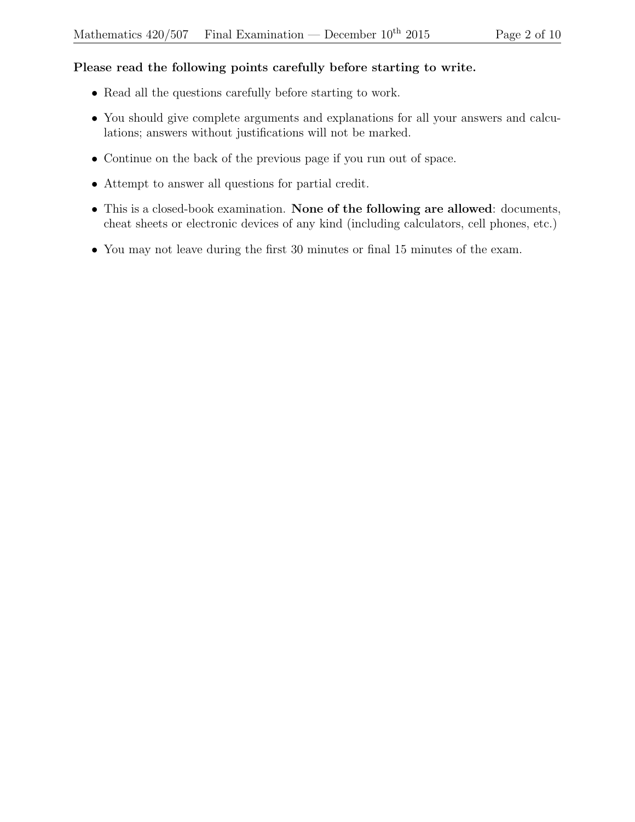## Please read the following points carefully before starting to write.

- Read all the questions carefully before starting to work.
- You should give complete arguments and explanations for all your answers and calculations; answers without justifications will not be marked.
- Continue on the back of the previous page if you run out of space.
- Attempt to answer all questions for partial credit.
- This is a closed-book examination. None of the following are allowed: documents, cheat sheets or electronic devices of any kind (including calculators, cell phones, etc.)
- You may not leave during the first 30 minutes or final 15 minutes of the exam.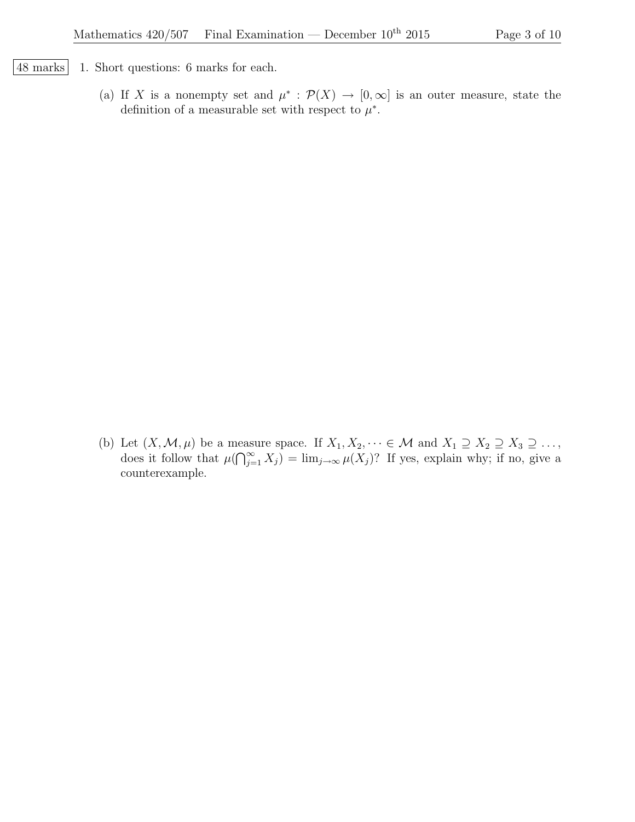- 48 marks 1. Short questions: 6 marks for each.
	- (a) If X is a nonempty set and  $\mu^* : \mathcal{P}(X) \to [0,\infty]$  is an outer measure, state the definition of a measurable set with respect to  $\mu^*$ .

(b) Let  $(X, \mathcal{M}, \mu)$  be a measure space. If  $X_1, X_2, \dots \in \mathcal{M}$  and  $X_1 \supseteq X_2 \supseteq X_3 \supseteq \dots$ , does it follow that  $\mu(\bigcap_{j=1}^{\infty} X_j) = \lim_{j\to\infty} \mu(X_j)$ ? If yes, explain why; if no, give a counterexample.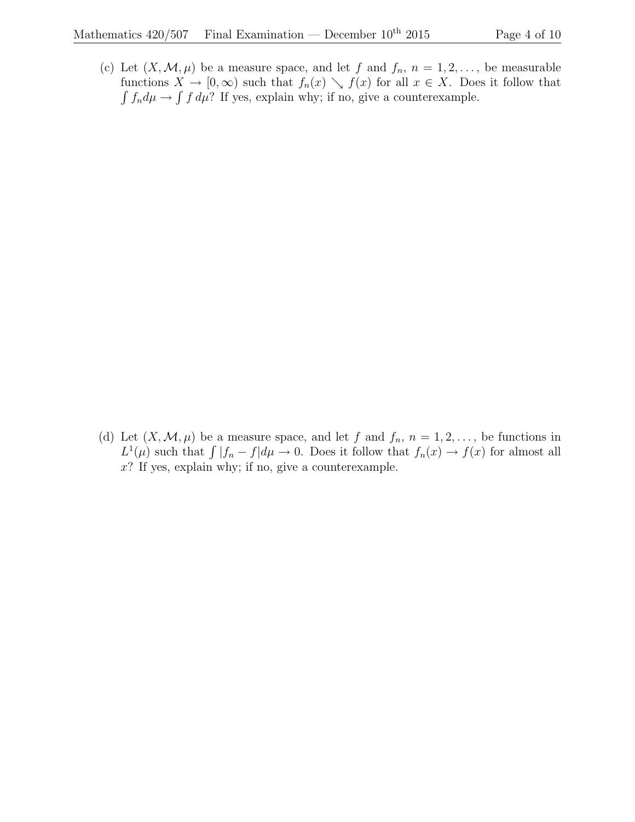(c) Let  $(X, \mathcal{M}, \mu)$  be a measure space, and let f and  $f_n$ ,  $n = 1, 2, \ldots$ , be measurable functions  $X \to [0,\infty)$  such that  $f_n(x) \searrow f(x)$  for all  $x \in X$ . Does it follow that  $\int f_n d\mu \to \int f d\mu$ ? If yes, explain why; if no, give a counterexample.

(d) Let  $(X, \mathcal{M}, \mu)$  be a measure space, and let f and  $f_n$ ,  $n = 1, 2, \ldots$ , be functions in  $L^1(\mu)$  such that  $\int |f_n - f| d\mu \to 0$ . Does it follow that  $f_n(x) \to f(x)$  for almost all  $x$ ? If yes, explain why; if no, give a counterexample.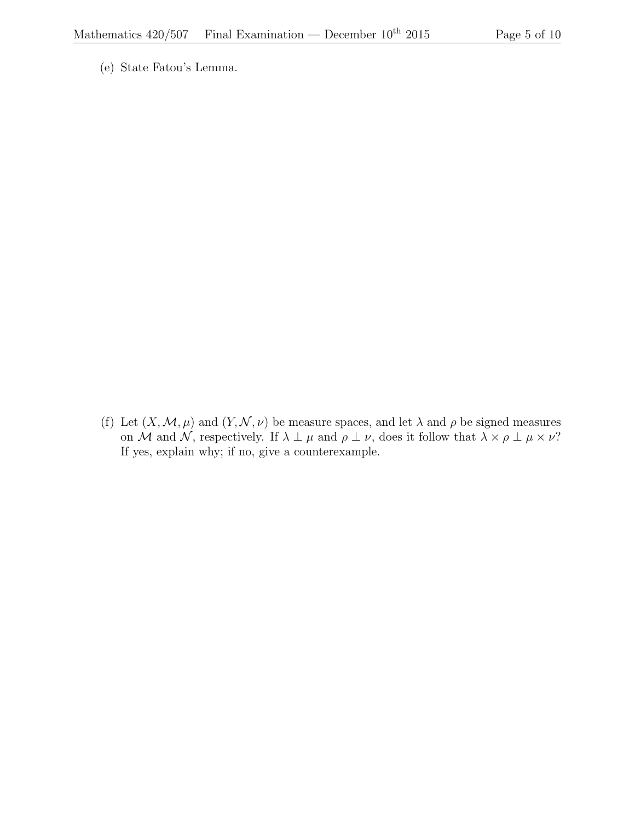(e) State Fatou's Lemma.

(f) Let  $(X, \mathcal{M}, \mu)$  and  $(Y, \mathcal{N}, \nu)$  be measure spaces, and let  $\lambda$  and  $\rho$  be signed measures on M and N, respectively. If  $\lambda \perp \mu$  and  $\rho \perp \nu$ , does it follow that  $\lambda \times \rho \perp \mu \times \nu$ ? If yes, explain why; if no, give a counterexample.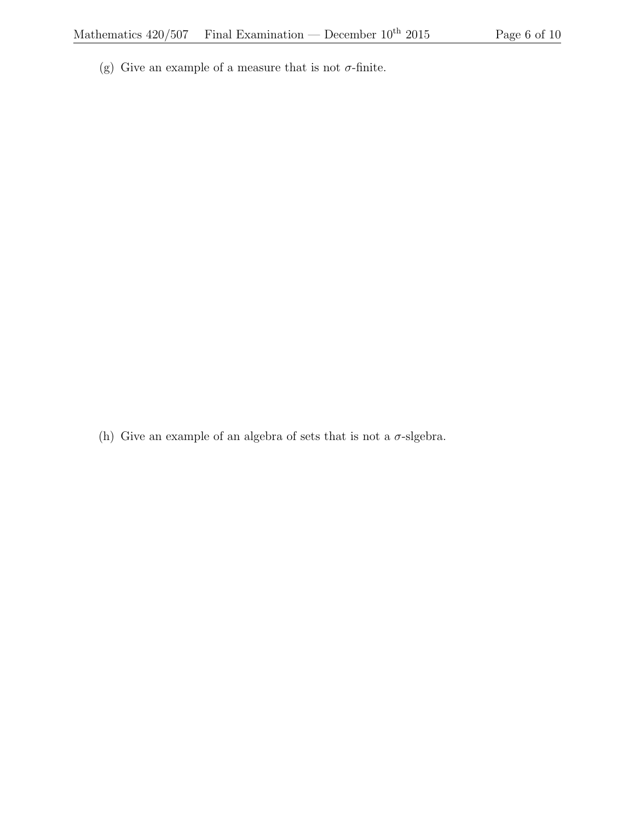(g) Give an example of a measure that is not  $\sigma$ -finite.

(h) Give an example of an algebra of sets that is not a  $\sigma$ -slgebra.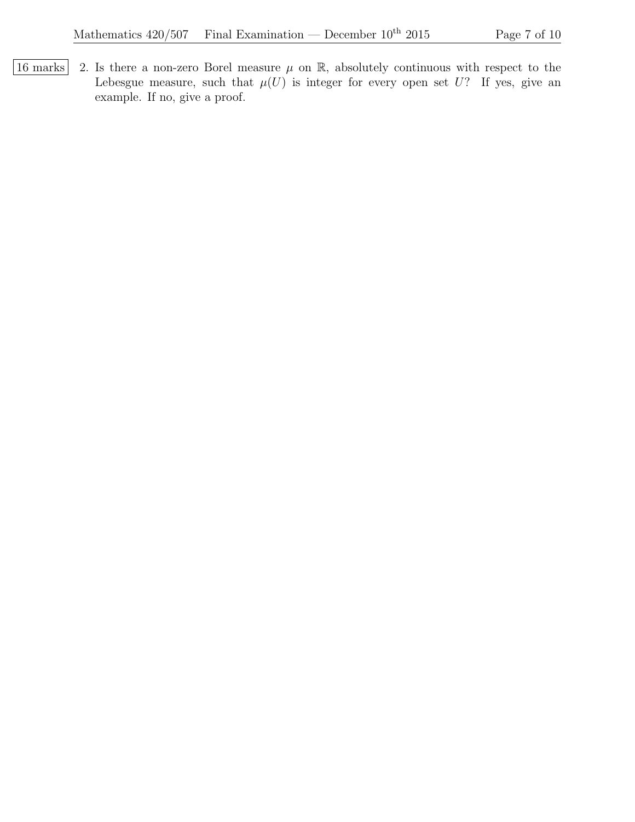$\boxed{16 \text{ marks}}$  2. Is there a non-zero Borel measure  $\mu$  on R, absolutely continuous with respect to the Lebesgue measure, such that  $\mu(U)$  is integer for every open set U? If yes, give an example. If no, give a proof.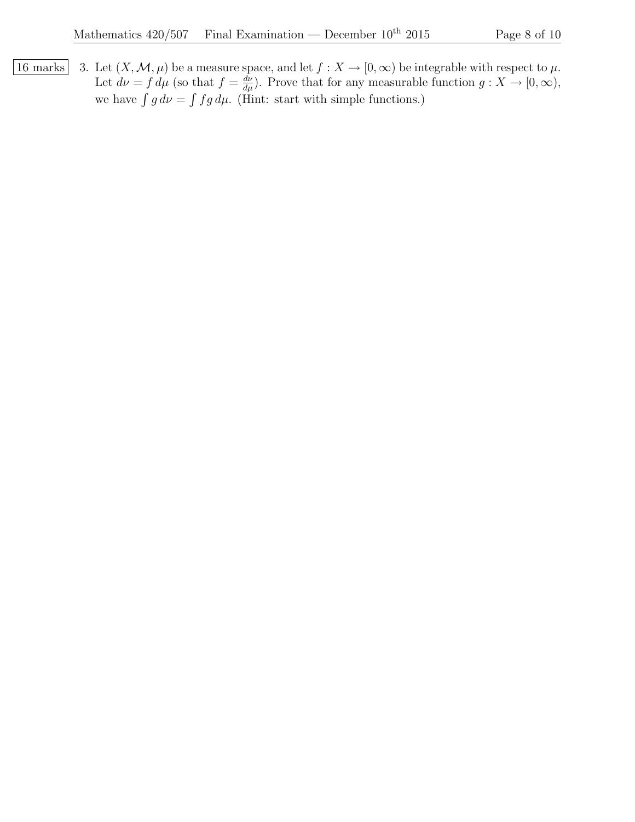16 marks 3. Let  $(X, \mathcal{M}, \mu)$  be a measure space, and let  $f : X \to [0, \infty)$  be integrable with respect to  $\mu$ . Let  $d\nu = f d\mu$  (so that  $f = \frac{d\nu}{d\mu}$ ). Prove that for any measurable function  $g: X \to [0, \infty)$ , we have  $\int g d\nu = \int f g d\mu$ . (Hint: start with simple functions.)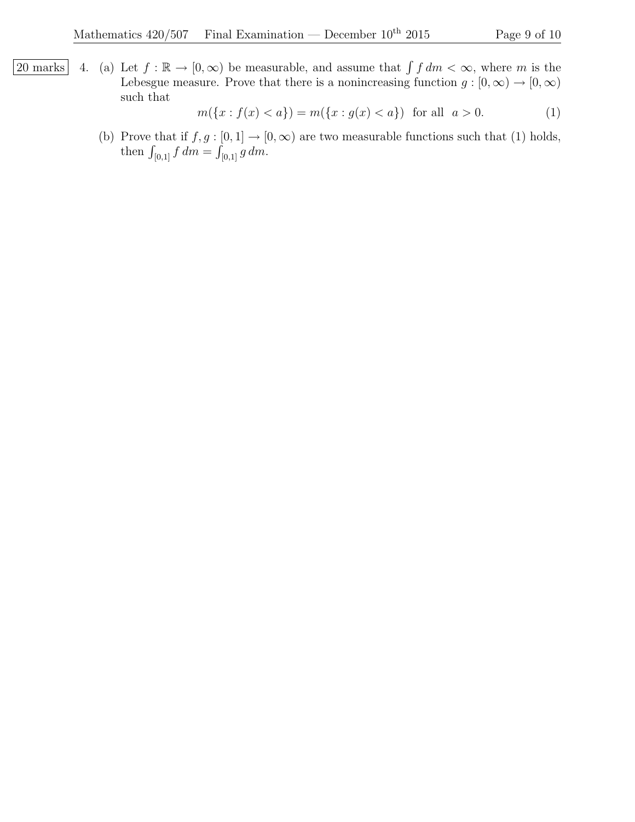20 marks 4. (a) Let  $f : \mathbb{R} \to [0, \infty)$  be measurable, and assume that  $\int f dm < \infty$ , where m is the Lebesgue measure. Prove that there is a nonincreasing function  $g : [0, \infty) \to [0, \infty)$ such that

$$
m({x : f(x) < a}) = m({x : g(x) < a}) \text{ for all } a > 0.
$$
 (1)

(b) Prove that if  $f, g : [0, 1] \rightarrow [0, \infty)$  are two measurable functions such that (1) holds, then  $\int_{[0,1]} f dm = \int_{[0,1]} g dm$ .